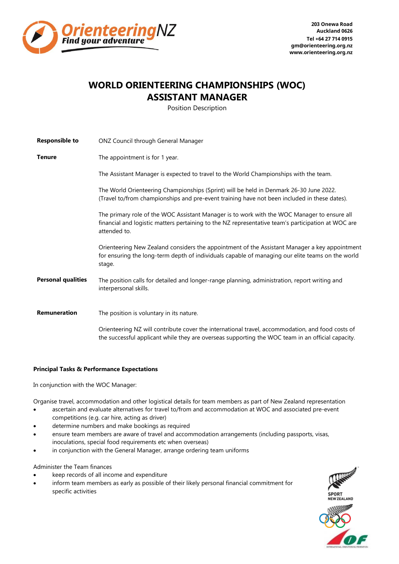

**203 Onewa Road Auckland 0626 Tel +64 27 714 0915 [gm@orienteering.org.nz](mailto:gm@orienteering.org.nz) www.orienteering.org.nz**

## **WORLD ORIENTEERING CHAMPIONSHIPS (WOC) ASSISTANT MANAGER**

Position Description

| <b>Responsible to</b>     | ONZ Council through General Manager                                                                                                                                                                               |
|---------------------------|-------------------------------------------------------------------------------------------------------------------------------------------------------------------------------------------------------------------|
| <b>Tenure</b>             | The appointment is for 1 year.                                                                                                                                                                                    |
|                           | The Assistant Manager is expected to travel to the World Championships with the team.                                                                                                                             |
|                           | The World Orienteering Championships (Sprint) will be held in Denmark 26-30 June 2022.<br>(Travel to/from championships and pre-event training have not been included in these dates).                            |
|                           | The primary role of the WOC Assistant Manager is to work with the WOC Manager to ensure all<br>financial and logistic matters pertaining to the NZ representative team's participation at WOC are<br>attended to. |
|                           | Orienteering New Zealand considers the appointment of the Assistant Manager a key appointment<br>for ensuring the long-term depth of individuals capable of managing our elite teams on the world<br>stage.       |
| <b>Personal qualities</b> | The position calls for detailed and longer-range planning, administration, report writing and<br>interpersonal skills.                                                                                            |
| <b>Remuneration</b>       | The position is voluntary in its nature.                                                                                                                                                                          |
|                           | Orienteering NZ will contribute cover the international travel, accommodation, and food costs of<br>the successful applicant while they are overseas supporting the WOC team in an official capacity.             |

## **Principal Tasks & Performance Expectations**

In conjunction with the WOC Manager:

Organise travel, accommodation and other logistical details for team members as part of New Zealand representation

- ascertain and evaluate alternatives for travel to/from and accommodation at WOC and associated pre-event competitions (e.g. car hire, acting as driver)
- determine numbers and make bookings as required
- ensure team members are aware of travel and accommodation arrangements (including passports, visas, inoculations, special food requirements etc when overseas)
- in conjunction with the General Manager, arrange ordering team uniforms

## Administer the Team finances

- keep records of all income and expenditure
- inform team members as early as possible of their likely personal financial commitment for specific activities